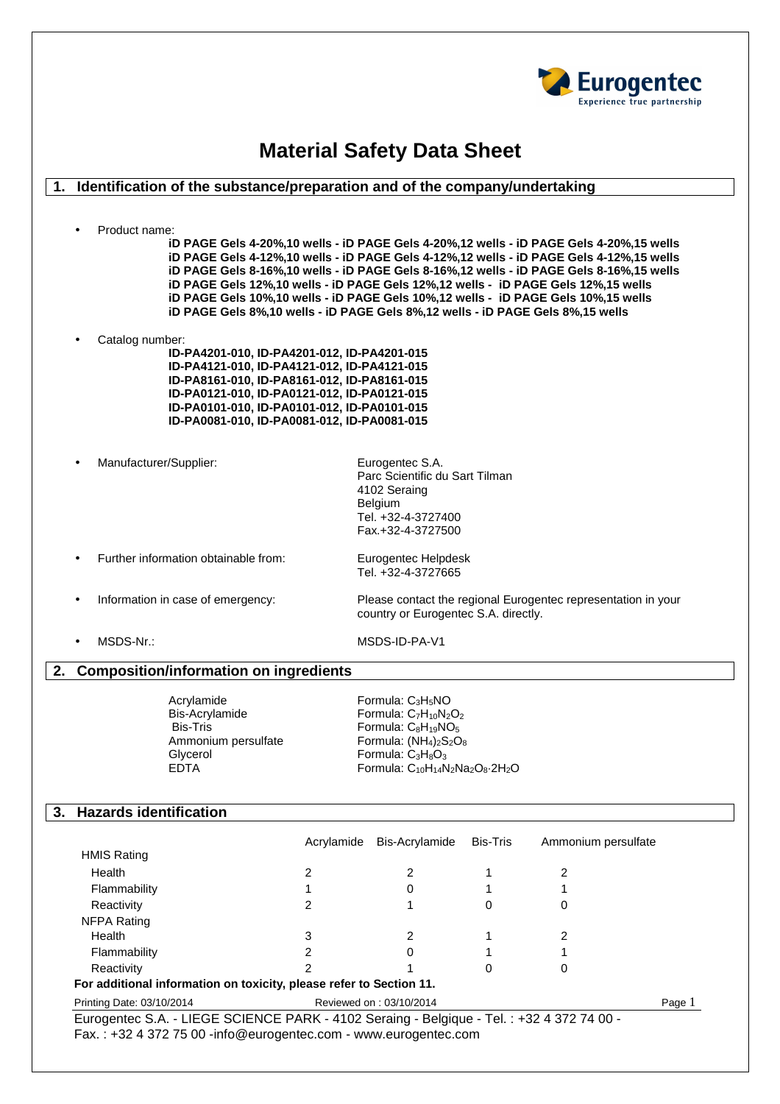

# **Material Safety Data Sheet**

# **1. Identification of the substance/preparation and of the company/undertaking**

• Product name:

**iD PAGE Gels 4-20%,10 wells - iD PAGE Gels 4-20%,12 wells - iD PAGE Gels 4-20%,15 wells iD PAGE Gels 4-12%,10 wells - iD PAGE Gels 4-12%,12 wells - iD PAGE Gels 4-12%,15 wells iD PAGE Gels 8-16%,10 wells - iD PAGE Gels 8-16%,12 wells - iD PAGE Gels 8-16%,15 wells iD PAGE Gels 12%,10 wells - iD PAGE Gels 12%,12 wells - iD PAGE Gels 12%,15 wells iD PAGE Gels 10%,10 wells - iD PAGE Gels 10%,12 wells - iD PAGE Gels 10%,15 wells iD PAGE Gels 8%,10 wells - iD PAGE Gels 8%,12 wells - iD PAGE Gels 8%,15 wells** 

- Catalog number:
	- **ID-PA4201-010, ID-PA4201-012, ID-PA4201-015 ID-PA4121-010, ID-PA4121-012, ID-PA4121-015 ID-PA8161-010, ID-PA8161-012, ID-PA8161-015 ID-PA0121-010, ID-PA0121-012, ID-PA0121-015 ID-PA0101-010, ID-PA0101-012, ID-PA0101-015 ID-PA0081-010, ID-PA0081-012, ID-PA0081-015**
- Manufacturer/Supplier: Eurogentec S.A.

Parc Scientific du Sart Tilman 4102 Seraing Belgium Tel. +32-4-3727400 Fax.+32-4-3727500

• Further information obtainable from: Eurogentec Helpdesk

Tel. +32-4-3727665

- 
- 

• Information in case of emergency: Please contact the regional Eurogentec representation in your country or Eurogentec S.A. directly.

• MSDS-Nr.: MSDS-ID-PA-V1

# **2. Composition/information on ingredients**

| Acrylamide          | Formula: $C_3H_5NO$                     |
|---------------------|-----------------------------------------|
| Bis-Acrylamide      | Formula: $C_7H_{10}N_2O_2$              |
| <b>Bis-Tris</b>     | Formula: $C_8H_{19}NO_5$                |
| Ammonium persulfate | Formula: $(NH_4)_2S_2O_8$               |
| Glycerol            | Formula: $C_3H_8O_3$                    |
| <b>FDTA</b>         | Formula: $C_{10}H_{14}N_2Na_2O_8.2H_2O$ |
|                     |                                         |

### **3. Hazards identification**

| Acrylamide | Bis-Acrylamide | Bis-Tris | Ammonium persulfate |
|------------|----------------|----------|---------------------|
|            |                |          |                     |
|            |                |          |                     |
|            | 0              |          |                     |
| ົ          |                | 0        | 0                   |
|            |                |          |                     |
| 3          |                |          | 2                   |
|            | 0              |          |                     |
|            |                | 0        | 0                   |
|            |                |          |                     |

Printing Date: 03/10/2014 Reviewed on : 03/10/2014 Page 1

Eurogentec S.A. - LIEGE SCIENCE PARK - 4102 Seraing - Belgique - Tel. : +32 4 372 74 00 - Fax. : +32 4 372 75 00 -info@eurogentec.com - www.eurogentec.com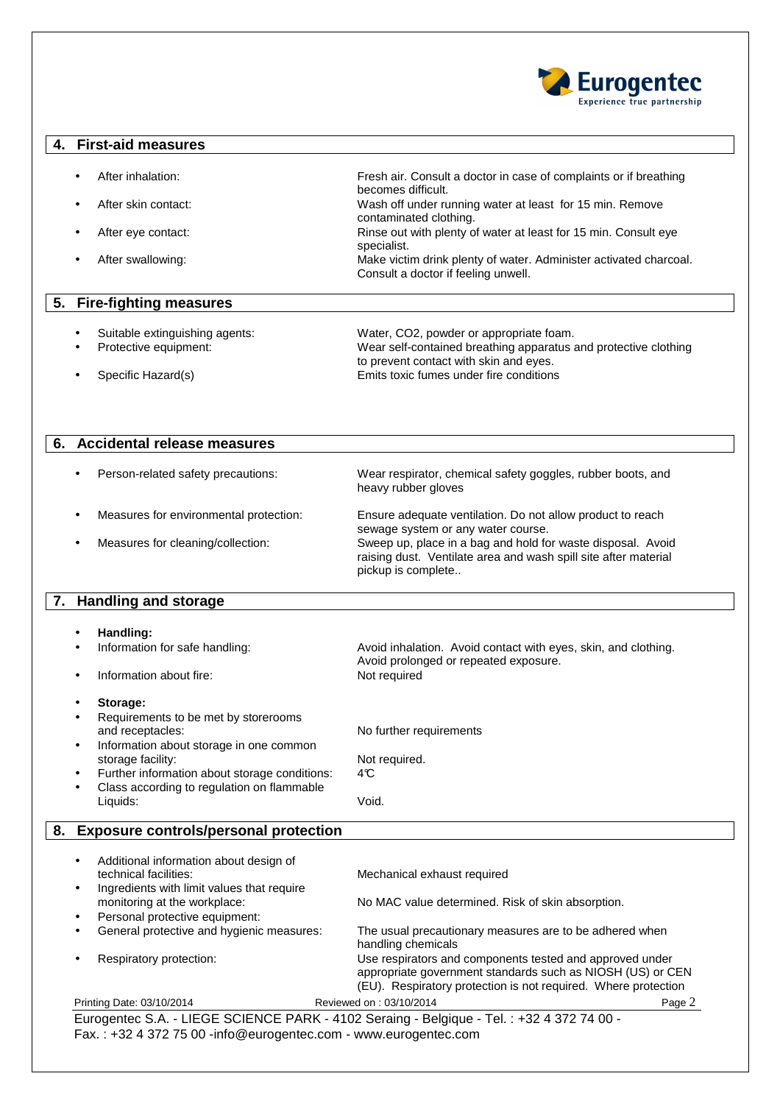

#### **4. First-aid measures**

- After inhalation: Fresh air. Consult a doctor in case of complaints or if breathing
- After skin contact: Wash off under running water at least for 15 min. Remove
- After eye contact: Rinse out with plenty of water at least for 15 min. Consult eye
- After swallowing: Make victim drink plenty of water. Administer activated charcoal.

#### **5. Fire-fighting measures**

| Suitable extinguishing agents: | Water, CO2, powder or appropriate foam.                         |
|--------------------------------|-----------------------------------------------------------------|
| Protective equipment:          | Wear self-contained breathing apparatus and protective clothing |
|                                | to prevent contact with skin and eyes.                          |
| Specific Hazard(s)             | Emits toxic fumes under fire conditions                         |

specialist.

becomes difficult.

contaminated clothing.

Consult a doctor if feeling unwell.

# **6. Accidental release measures**

• Person-related safety precautions: Wear respirator, chemical safety goggles, rubber boots, and heavy rubber gloves

- Measures for environmental protection: Ensure adequate ventilation. Do not allow product to reach
- 

sewage system or any water course. • Measures for cleaning/collection: Sweep up, place in a bag and hold for waste disposal. Avoid raising dust. Ventilate area and wash spill site after material pickup is complete..

# **7. Handling and storage**

| ٠         | Handling:                                                                  |                                                                                                                                                                                          |        |
|-----------|----------------------------------------------------------------------------|------------------------------------------------------------------------------------------------------------------------------------------------------------------------------------------|--------|
| $\bullet$ | Information for safe handling:                                             | Avoid inhalation. Avoid contact with eyes, skin, and clothing.<br>Avoid prolonged or repeated exposure.                                                                                  |        |
| ٠         | Information about fire:                                                    | Not required                                                                                                                                                                             |        |
| ٠         | Storage:                                                                   |                                                                                                                                                                                          |        |
|           | Requirements to be met by storerooms                                       |                                                                                                                                                                                          |        |
|           | and receptacles:                                                           | No further requirements                                                                                                                                                                  |        |
| $\bullet$ | Information about storage in one common                                    |                                                                                                                                                                                          |        |
|           | storage facility:                                                          | Not required.                                                                                                                                                                            |        |
| ٠         | Further information about storage conditions:                              | 4C                                                                                                                                                                                       |        |
| $\bullet$ | Class according to regulation on flammable                                 |                                                                                                                                                                                          |        |
|           | Liquids:                                                                   | Void.                                                                                                                                                                                    |        |
| 8.        | <b>Exposure controls/personal protection</b>                               |                                                                                                                                                                                          |        |
|           |                                                                            |                                                                                                                                                                                          |        |
| ٠         | Additional information about design of                                     |                                                                                                                                                                                          |        |
|           | technical facilities:                                                      | Mechanical exhaust required                                                                                                                                                              |        |
| $\bullet$ | Ingredients with limit values that require<br>monitoring at the workplace: | No MAC value determined. Risk of skin absorption.                                                                                                                                        |        |
| ٠         | Personal protective equipment:                                             |                                                                                                                                                                                          |        |
| ٠         | General protective and hygienic measures:                                  | The usual precautionary measures are to be adhered when                                                                                                                                  |        |
|           |                                                                            | handling chemicals                                                                                                                                                                       |        |
|           | Respiratory protection:                                                    | Use respirators and components tested and approved under<br>appropriate government standards such as NIOSH (US) or CEN<br>(EU). Respiratory protection is not required. Where protection |        |
|           | Printing Date: 03/10/2014                                                  | Reviewed on: 03/10/2014                                                                                                                                                                  | Page 2 |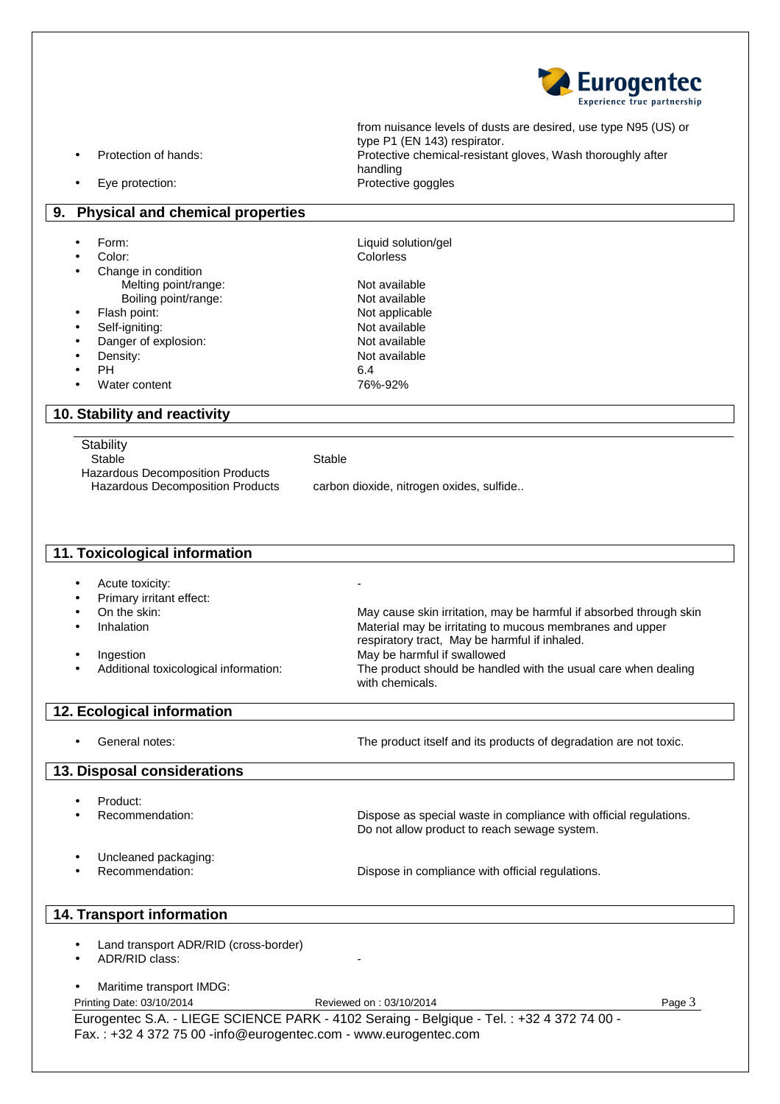

from nuisance levels of dusts are desired, use type N95 (US) or type P1 (EN 143) respirator. • Protection of hands: Protective chemical-resistant gloves, Wash thoroughly after handling Eye protection: example and the protective goggles

- **9. Physical and chemical properties** 
	- Form: Liquid solution/gel
	- Color: Colorless • Change in condition Melting point/range:<br>
	Boiling point/range:<br>
	Not available
	- Boiling point/range:
	- Flash point: Not applicable
	- **Self-igniting:** Not available
	- **Danger of explosion:** Not available **Density:** Not available
	-
	- $PH$  6.4
	- Water content 76%-92%

# **10. Stability and reactivity**

**Stability** 

Stable Stable Stable

Hazardous Decomposition Products

Hazardous Decomposition Products carbon dioxide, nitrogen oxides, sulfide..

#### **11. Toxicological information**

- Acute toxicity:
- Primary irritant effect:<br>On the skin:
- 
- 
- 
- 

May cause skin irritation, may be harmful if absorbed through skin • Inhalation Material may be irritating to mucous membranes and upper respiratory tract, May be harmful if inhaled. Ingestion **Ingestion** May be harmful if swallowed • Additional toxicological information: The product should be handled with the usual care when dealing with chemicals.

#### **12. Ecological information**

General notes: example and the product itself and its products of degradation are not toxic.

# **13. Disposal considerations**

- Product:
- - Recommendation: **Dispose as special waste in compliance with official regulations.** Do not allow product to reach sewage system.
- Uncleaned packaging:

**Recommendation:**  $\qquad \qquad \qquad$  Dispose in compliance with official regulations.

### **14. Transport information**

- Land transport ADR/RID (cross-border)
- ADR/RID class:
- Maritime transport IMDG:

Printing Date: 03/10/2014 **Reviewed on : 03/10/2014** Page 3

Eurogentec S.A. - LIEGE SCIENCE PARK - 4102 Seraing - Belgique - Tel. : +32 4 372 74 00 - Fax. : +32 4 372 75 00 -info@eurogentec.com - www.eurogentec.com